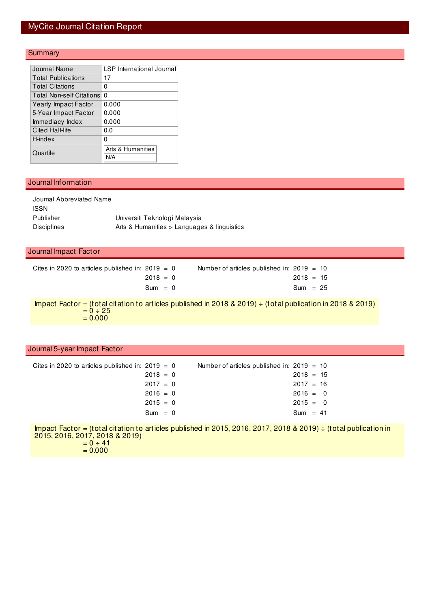### MyCite Journal Citation Report

#### **Summary**

| Journal Name                    | LSP International Journal |
|---------------------------------|---------------------------|
| <b>Total Publications</b>       | 17                        |
| <b>Total Citations</b>          | 0                         |
| <b>Total Non-self Citations</b> | 0                         |
| Yearly Impact Factor            | 0.000                     |
| 5-Year Impact Factor            | 0.000                     |
| Immediacy Index                 | 0.000                     |
| Cited Half-life                 | 0.0                       |
| H-index                         | 0                         |
|                                 | Arts & Humanities         |
| Quartile                        |                           |

#### Journal Information

| Journal Abbreviated Name |                                             |
|--------------------------|---------------------------------------------|
| <b>ISSN</b>              | $\overline{\phantom{0}}$                    |
| Publisher                | Universiti Teknologi Malaysia               |
| <b>Disciplines</b>       | Arts & Humanities > Languages & linguistics |

#### Journal Impact Factor

| Cites in 2020 to articles published in: $2019 = 0$ | Number of articles published in: $2019 = 10$ |
|----------------------------------------------------|----------------------------------------------|
| $2018 = 0$                                         | $2018 = 15$                                  |
| $Sum = 0$                                          | $Sum = 25$                                   |

Impact Factor = (total citation to articles published in 2018 & 2019) ÷ (total publication in 2018 & 2019)  $= 0 \div 25$  $= 0.000$ 

#### Journal 5-year Impact Factor

|            | Number of articles published in: $2019 = 10$       |  |
|------------|----------------------------------------------------|--|
| $2018 = 0$ | $2018 = 15$                                        |  |
| $2017 = 0$ | $2017 = 16$                                        |  |
| $2016 = 0$ | $2016 = 0$                                         |  |
| $2015 = 0$ | $2015 = 0$                                         |  |
| $Sum = 0$  | $Sum = 41$                                         |  |
|            | Cites in 2020 to articles published in: 2019 $=$ 0 |  |

Impact Factor = (total citation to articles published in 2015, 2016, 2017, 2018 & 2019) ÷ (total publication in 2015, 2016, 2017, 2018 & 2019)  $= 0 \div 41$ 

 $= 0.000$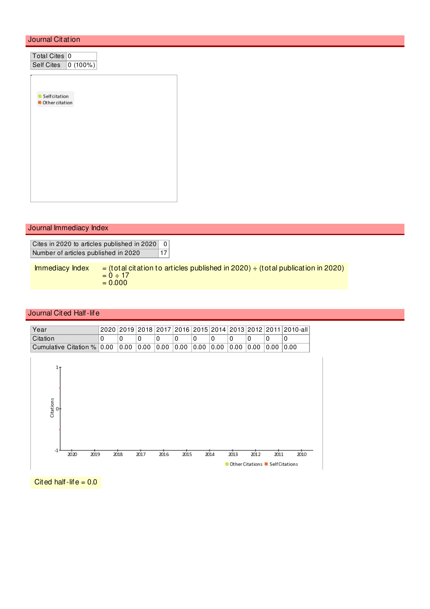#### Journal Citation

| Total Cites 0<br><b>Self Cites</b><br>$\boxed{0(100\%)}$                                                 |  |
|----------------------------------------------------------------------------------------------------------|--|
| Selfcitation<br>Other citation                                                                           |  |
|                                                                                                          |  |
|                                                                                                          |  |
| Journal Immediacy Index                                                                                  |  |
| Cites in 2020 to articles published in 2020<br>$\mathbf 0$<br>Number of articles published in 2020<br>17 |  |

Immediacy Index  $=$  (total citation to articles published in 2020)  $\div$  (total publication in 2020)  $= 0 \div 17$  $= 0.000$ 

#### Journal Cited Half-life

| Year     |  |  |  |  |  | 2020   2019   2018   2017   2016   2015   2014   2013   2012   2011   2010-all |
|----------|--|--|--|--|--|--------------------------------------------------------------------------------|
| Citation |  |  |  |  |  |                                                                                |
|          |  |  |  |  |  |                                                                                |



Cited half-life  $= 0.0$